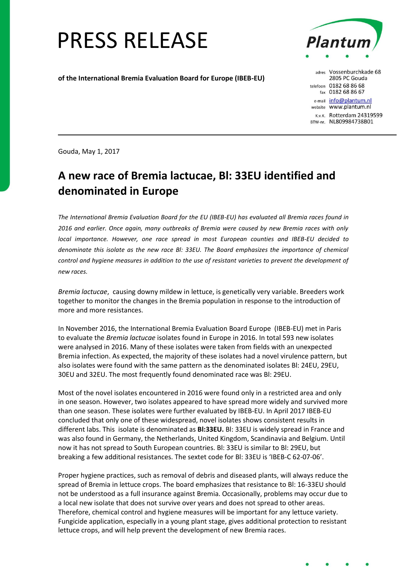## PRESS RELEASE

**of the International Bremia Evaluation Board for Europe (IBEB-EU)** 



adres Vossenburchkade 68 2805 PC Gouda telefoon 0182 68 86 68 fax 0182 68 86 67 e-mail info@plantum.nl website www.plantum.nl K.v.K. Rotterdam 24319599 BTW-nr. NL809984738B01

Gouda, May 1, 2017

## **A new race of Bremia lactucae, Bl: 33EU identified and denominated in Europe**

*The International Bremia Evaluation Board for the EU (IBEB-EU) has evaluated all Bremia races found in 2016 and earlier. Once again, many outbreaks of Bremia were caused by new Bremia races with only local importance. However, one race spread in most European counties and IBEB-EU decided to denominate this isolate as the new race Bl: 33EU. The Board emphasizes the importance of chemical control and hygiene measures in addition to the use of resistant varieties to prevent the development of new races.* 

*Bremia lactucae*, causing downy mildew in lettuce, is genetically very variable. Breeders work together to monitor the changes in the Bremia population in response to the introduction of more and more resistances.

In November 2016, the International Bremia Evaluation Board Europe (IBEB-EU) met in Paris to evaluate the *Bremia lactucae* isolates found in Europe in 2016. In total 593 new isolates were analysed in 2016. Many of these isolates were taken from fields with an unexpected Bremia infection. As expected, the majority of these isolates had a novel virulence pattern, but also isolates were found with the same pattern as the denominated isolates Bl: 24EU, 29EU, 30EU and 32EU. The most frequently found denominated race was Bl: 29EU.

Most of the novel isolates encountered in 2016 were found only in a restricted area and only in one season. However, two isolates appeared to have spread more widely and survived more than one season. These isolates were further evaluated by IBEB-EU. In April 2017 IBEB-EU concluded that only one of these widespread, novel isolates shows consistent results in different labs. This isolate is denominated as **Bl:33EU.** Bl: 33EU is widely spread in France and was also found in Germany, the Netherlands, United Kingdom, Scandinavia and Belgium. Until now it has not spread to South European countries. Bl: 33EU is similar to Bl: 29EU, but breaking a few additional resistances. The sextet code for Bl: 33EU is 'IBEB-C 62-07-06'.

Proper hygiene practices, such as removal of debris and diseased plants, will always reduce the spread of Bremia in lettuce crops. The board emphasizes that resistance to Bl: 16-33EU should not be understood as a full insurance against Bremia. Occasionally, problems may occur due to a local new isolate that does not survive over years and does not spread to other areas. Therefore, chemical control and hygiene measures will be important for any lettuce variety. Fungicide application, especially in a young plant stage, gives additional protection to resistant lettuce crops, and will help prevent the development of new Bremia races.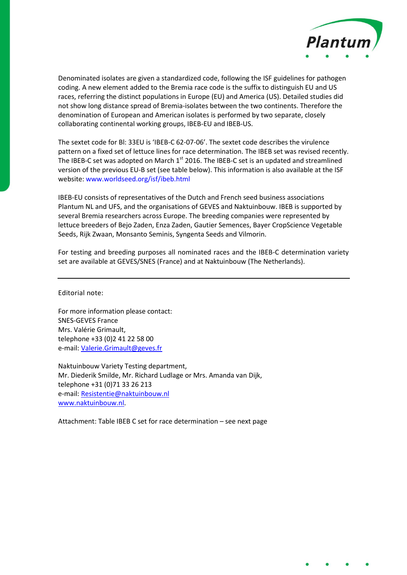

Denominated isolates are given a standardized code, following the ISF guidelines for pathogen coding. A new element added to the Bremia race code is the suffix to distinguish EU and US races, referring the distinct populations in Europe (EU) and America (US). Detailed studies did not show long distance spread of Bremia-isolates between the two continents. Therefore the denomination of European and American isolates is performed by two separate, closely collaborating continental working groups, IBEB-EU and IBEB-US.

The sextet code for Bl: 33EU is 'IBEB-C 62-07-06'. The sextet code describes the virulence pattern on a fixed set of lettuce lines for race determination. The IBEB set was revised recently. The IBEB-C set was adopted on March 1<sup>st</sup> 2016. The IBEB-C set is an updated and streamlined version of the previous EU-B set (see table below). This information is also available at the ISF website[: www.worldseed.org/isf/ibeb.html](http://www.worldseed.org/isf/ibeb.html)

IBEB-EU consists of representatives of the Dutch and French seed business associations Plantum NL and UFS, and the organisations of GEVES and Naktuinbouw. IBEB is supported by several Bremia researchers across Europe. The breeding companies were represented by lettuce breeders of Bejo Zaden, Enza Zaden, Gautier Semences, Bayer CropScience Vegetable Seeds, Rijk Zwaan, Monsanto Seminis, Syngenta Seeds and Vilmorin.

For testing and breeding purposes all nominated races and the IBEB-C determination variety set are available at GEVES/SNES (France) and at Naktuinbouw (The Netherlands).

Editorial note:

For more information please contact: SNES-GEVES France Mrs. Valérie Grimault, telephone +33 (0)2 41 22 58 00 e-mail[: Valerie.Grimault@geves.fr](mailto:Valerie.grimault@geves.fr)

Naktuinbouw Variety Testing department, Mr. Diederik Smilde, Mr. Richard Ludlage or Mrs. Amanda van Dijk, telephone +31 (0)71 33 26 213 e-mail[: Resistentie@naktuinbouw.nl](mailto:resistentie@naktuinbouw.nl) [www.naktuinbouw.nl.](http://www.naktuinbouw.nl/)

Attachment: Table IBEB C set for race determination – see next page